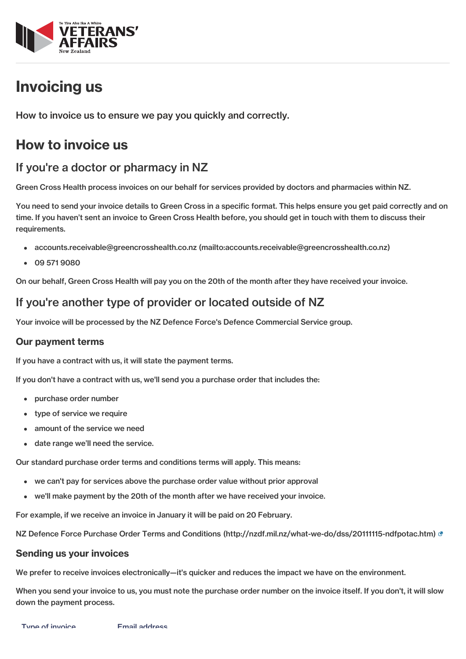

# Invoicing us

How to invoice us to ensure we pay you quickly and correctly.

## How to invoice us

### If you're a doctor or pharmacy in NZ

Green Cross Health process invoices on our behalf for services provided by doctors and pharmacies within NZ.

You need to send your invoice details to Green Cross in a specific format. This helps ensure you get paid correctly and on time. If you haven't sent an invoice to Green Cross Health before, you should get in touch with them to discuss their requirements.

- accounts.receivable@greencrosshealth.co.nz [\(mailto:accounts.receivable@greencrosshealth.co.nz\)](mailto:accounts.receivable@greencrosshealth.co.nz)
- 09 571 9080

On our behalf, Green Cross Health will pay you on the 20th of the month after they have received your invoice.

### If you're another type of provider or located outside of NZ

Your invoice will be processed by the NZ Defence Force's Defence Commercial Service group.

#### Our payment terms

If you have a contract with us, it will state the payment terms.

If you don't have a contract with us, we'll send you a purchase order that includes the:

- purchase order number
- type of service we require
- amount of the service we need
- date range we'll need the service.

Our standard purchase order terms and conditions terms will apply. This means:

- we can't pay for services above the purchase order value without prior approval
- we'll make payment by the 20th of the month after we have received your invoice.

For example, if we receive an invoice in January it will be paid on 20 February.

NZ Defence Force Purchase Order Terms and Conditions [\(http://nzdf.mil.nz/what-we-do/dss/20111115-ndfpotac.htm\)](http://nzdf.mil.nz/what-we-do/dss/20111115-ndfpotac.htm)

#### Sending us your invoices

We prefer to receive invoices electronically—it's quicker and reduces the impact we have on the environment.

When you send your invoice to us, you must note the purchase order number on the invoice itself. If you don't, it will slow down the payment process.